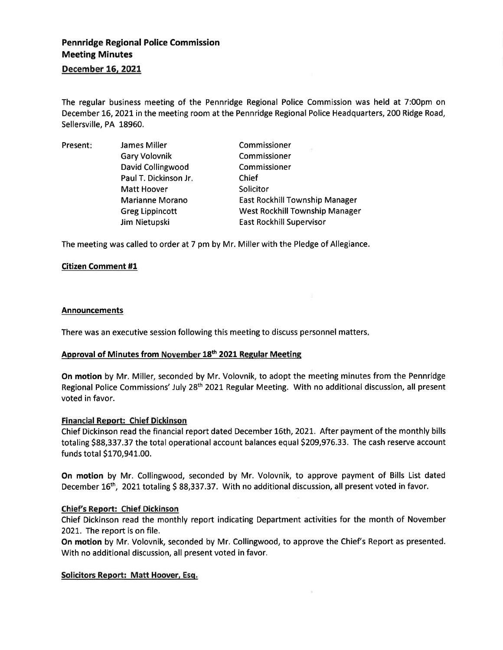# Pennridge Regional Police Commission Meeting Minutes

## December 15. 2021

The regular business meeting of the Pennridge Regional Police Commission was held at 7:00pm on December 16, 2021 in the meeting room at the Pennridge Regional Police Headquarters, 200 Ridge Road, Sellersville, PA 18960.

| Present: | <b>James Miller</b>    | Commissioner                          |
|----------|------------------------|---------------------------------------|
|          | <b>Gary Volovnik</b>   | Commissioner                          |
|          | David Collingwood      | Commissioner                          |
|          | Paul T. Dickinson Jr.  | Chief                                 |
|          | <b>Matt Hoover</b>     | Solicitor                             |
|          | <b>Marianne Morano</b> | East Rockhill Township Manager        |
|          | <b>Greg Lippincott</b> | <b>West Rockhill Township Manager</b> |
|          | Jim Nietupski          | <b>East Rockhill Supervisor</b>       |

The meeting was called to order at 7 pm by Mr. Miller with the Pledge of Allegiance.

## Citizen Comment #1

#### Announcements

There was an executive session following this meeting to discuss personnel matters

## Approval of Minutes from November 18<sup>th</sup> 2021 Regular Meeting

On motion by Mr. Miller, seconded by Mr. Volovnik, to adopt the meeting minutes from the Pennridge Regional Police Commissions' July 28<sup>th</sup> 2021 Regular Meeting. With no additional discussion, all present voted in favor.

#### Financial Report: Chief Dickinson

Chief Dickinson read the financial report dated December 16th, 2021. After payment of the monthly bills totaling \$88,337.37 the total operational account balances equal \$209,976.33. The cash reserve account funds total \$170,941.00.

On motion by Mr. Collingwood, seconded by Mr. Volovnik, to approve payment of Bills List dated December 16<sup>th</sup>, 2021 totaling \$ 88,337.37. With no additional discussion, all present voted in favor.

#### Chief's Report: Chief Dickinson

Chief Dickinson read the monthly report indicating Department activities for the month of November 2021. The report is on file.

On motion by Mr. Volovnik, seconded by Mr. Collingwood, to approve the Chief's Report as presented. With no additional discussion, all present voted in favor.

#### Solicitors Report: Matt Hoover, Esq.